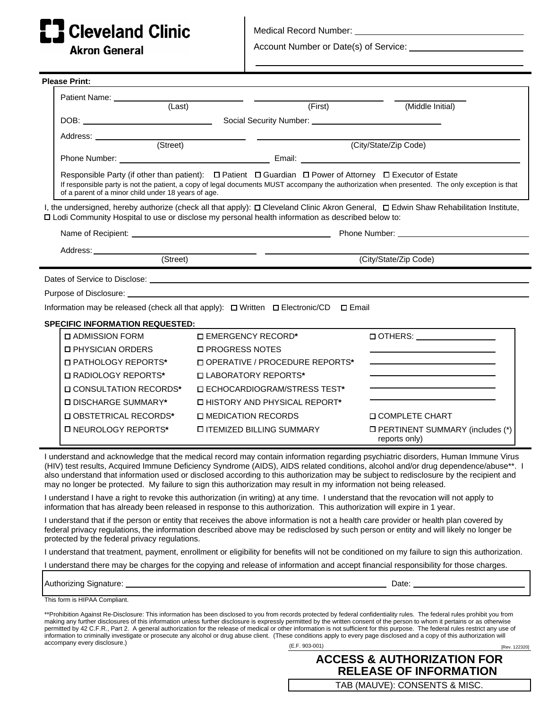## **Cleveland Clinic**

**Akron General** 

Medical Record Number:

Account Number or Date(s) of Service: **contain the Contract of Service**:

| <b>Please Print:</b>                                                                                                                                                                                                                                  |                                                                                                                                                                                                                                                                                                                                       |                                  |  |                  |                                                                                                                                                                                                                                                                                                                                                                                                                  |  |
|-------------------------------------------------------------------------------------------------------------------------------------------------------------------------------------------------------------------------------------------------------|---------------------------------------------------------------------------------------------------------------------------------------------------------------------------------------------------------------------------------------------------------------------------------------------------------------------------------------|----------------------------------|--|------------------|------------------------------------------------------------------------------------------------------------------------------------------------------------------------------------------------------------------------------------------------------------------------------------------------------------------------------------------------------------------------------------------------------------------|--|
|                                                                                                                                                                                                                                                       | Patient Name: _____________                                                                                                                                                                                                                                                                                                           |                                  |  |                  |                                                                                                                                                                                                                                                                                                                                                                                                                  |  |
|                                                                                                                                                                                                                                                       | (Last)                                                                                                                                                                                                                                                                                                                                | $\overline{\text{(First)}}$      |  | (Middle Initial) |                                                                                                                                                                                                                                                                                                                                                                                                                  |  |
|                                                                                                                                                                                                                                                       |                                                                                                                                                                                                                                                                                                                                       |                                  |  |                  |                                                                                                                                                                                                                                                                                                                                                                                                                  |  |
|                                                                                                                                                                                                                                                       | Address: ______________                                                                                                                                                                                                                                                                                                               |                                  |  |                  |                                                                                                                                                                                                                                                                                                                                                                                                                  |  |
|                                                                                                                                                                                                                                                       | (Street)                                                                                                                                                                                                                                                                                                                              | (City/State/Zip Code)            |  |                  |                                                                                                                                                                                                                                                                                                                                                                                                                  |  |
|                                                                                                                                                                                                                                                       |                                                                                                                                                                                                                                                                                                                                       |                                  |  |                  |                                                                                                                                                                                                                                                                                                                                                                                                                  |  |
|                                                                                                                                                                                                                                                       | Responsible Party (if other than patient): $\Box$ Patient $\Box$ Guardian $\Box$ Power of Attorney $\Box$ Executor of Estate<br>If responsible party is not the patient, a copy of legal documents MUST accompany the authorization when presented. The only exception is that<br>of a parent of a minor child under 18 years of age. |                                  |  |                  |                                                                                                                                                                                                                                                                                                                                                                                                                  |  |
| I, the undersigned, hereby authorize (check all that apply): $\Box$ Cleveland Clinic Akron General, $\Box$ Edwin Shaw Rehabilitation Institute,<br>□ Lodi Community Hospital to use or disclose my personal health information as described below to: |                                                                                                                                                                                                                                                                                                                                       |                                  |  |                  |                                                                                                                                                                                                                                                                                                                                                                                                                  |  |
|                                                                                                                                                                                                                                                       |                                                                                                                                                                                                                                                                                                                                       |                                  |  |                  |                                                                                                                                                                                                                                                                                                                                                                                                                  |  |
|                                                                                                                                                                                                                                                       |                                                                                                                                                                                                                                                                                                                                       |                                  |  |                  |                                                                                                                                                                                                                                                                                                                                                                                                                  |  |
|                                                                                                                                                                                                                                                       | (Street)                                                                                                                                                                                                                                                                                                                              |                                  |  |                  | (City/State/Zip Code)                                                                                                                                                                                                                                                                                                                                                                                            |  |
| Dates of Service to Disclose: <u>example and the service</u> and the service of the service of Service to Disclose:                                                                                                                                   |                                                                                                                                                                                                                                                                                                                                       |                                  |  |                  |                                                                                                                                                                                                                                                                                                                                                                                                                  |  |
|                                                                                                                                                                                                                                                       |                                                                                                                                                                                                                                                                                                                                       |                                  |  |                  |                                                                                                                                                                                                                                                                                                                                                                                                                  |  |
| Information may be released (check all that apply): $\Box$ Written $\Box$ Electronic/CD $\Box$ Email                                                                                                                                                  |                                                                                                                                                                                                                                                                                                                                       |                                  |  |                  |                                                                                                                                                                                                                                                                                                                                                                                                                  |  |
|                                                                                                                                                                                                                                                       |                                                                                                                                                                                                                                                                                                                                       |                                  |  |                  |                                                                                                                                                                                                                                                                                                                                                                                                                  |  |
|                                                                                                                                                                                                                                                       | <b>SPECIFIC INFORMATION REQUESTED:</b>                                                                                                                                                                                                                                                                                                | □ EMERGENCY RECORD*              |  |                  |                                                                                                                                                                                                                                                                                                                                                                                                                  |  |
|                                                                                                                                                                                                                                                       | □ ADMISSION FORM<br><b>D PHYSICIAN ORDERS</b>                                                                                                                                                                                                                                                                                         | □ PROGRESS NOTES                 |  |                  |                                                                                                                                                                                                                                                                                                                                                                                                                  |  |
|                                                                                                                                                                                                                                                       | □ PATHOLOGY REPORTS*                                                                                                                                                                                                                                                                                                                  | □ OPERATIVE / PROCEDURE REPORTS* |  |                  |                                                                                                                                                                                                                                                                                                                                                                                                                  |  |
|                                                                                                                                                                                                                                                       | <b>II RADIOLOGY REPORTS*</b>                                                                                                                                                                                                                                                                                                          | □ LABORATORY REPORTS*            |  |                  |                                                                                                                                                                                                                                                                                                                                                                                                                  |  |
|                                                                                                                                                                                                                                                       |                                                                                                                                                                                                                                                                                                                                       | □ ECHOCARDIOGRAM/STRESS TEST*    |  |                  |                                                                                                                                                                                                                                                                                                                                                                                                                  |  |
|                                                                                                                                                                                                                                                       | □ CONSULTATION RECORDS*                                                                                                                                                                                                                                                                                                               | □ HISTORY AND PHYSICAL REPORT*   |  |                  |                                                                                                                                                                                                                                                                                                                                                                                                                  |  |
|                                                                                                                                                                                                                                                       | □ DISCHARGE SUMMARY*                                                                                                                                                                                                                                                                                                                  |                                  |  |                  |                                                                                                                                                                                                                                                                                                                                                                                                                  |  |
|                                                                                                                                                                                                                                                       | □ OBSTETRICAL RECORDS*                                                                                                                                                                                                                                                                                                                | □ MEDICATION RECORDS             |  |                  | <b>D COMPLETE CHART</b>                                                                                                                                                                                                                                                                                                                                                                                          |  |
|                                                                                                                                                                                                                                                       | □ NEUROLOGY REPORTS*                                                                                                                                                                                                                                                                                                                  | <b>ITEMIZED BILLING SUMMARY</b>  |  |                  | □ PERTINENT SUMMARY (includes (*)<br>reports only)                                                                                                                                                                                                                                                                                                                                                               |  |
|                                                                                                                                                                                                                                                       | may no longer be protected. My failure to sign this authorization may result in my information not being released.                                                                                                                                                                                                                    |                                  |  |                  | I understand and acknowledge that the medical record may contain information regarding psychiatric disorders, Human Immune Virus<br>(HIV) test results, Acquired Immune Deficiency Syndrome (AIDS), AIDS related conditions, alcohol and/or drug dependence/abuse**. I<br>also understand that information used or disclosed according to this authorization may be subject to redisclosure by the recipient and |  |

I understand I have a right to revoke this authorization (in writing) at any time. I understand that the revocation will not apply to information that has already been released in response to this authorization. This authorization will expire in 1 year.

I understand that if the person or entity that receives the above information is not a health care provider or health plan covered by federal privacy regulations, the information described above may be redisclosed by such person or entity and will likely no longer be protected by the federal privacy regulations.

I understand that treatment, payment, enrollment or eligibility for benefits will not be conditioned on my failure to sign this authorization.

I understand there may be charges for the copying and release of information and accept financial responsibility for those charges.

Authorizing Signature: Date:

**ACCESS & AUTHORIZATION FOR RELEASE OF INFORMATION**

TAB (MAUVE): CONSENTS & MISC.

This form is HIPAA Compliant.

(E.F. 903-001) [Rev. 122320] \*\*Prohibition Against Re-Disclosure: This information has been disclosed to you from records protected by federal confidentiality rules. The federal rules prohibit you from making any further disclosures of this information unless further disclosure is expressly permitted by the written consent of the person to whom it pertains or as otherwise permitted by 42 C.F.R., Part 2. A general authorization for the release of medical or other information is not sufficient for this purpose. The federal rules restrict any use of information to criminally investigate or prosecute any alcohol or drug abuse client. (These conditions apply to every page disclosed and a copy of this authorization will accompany every disclosure.)